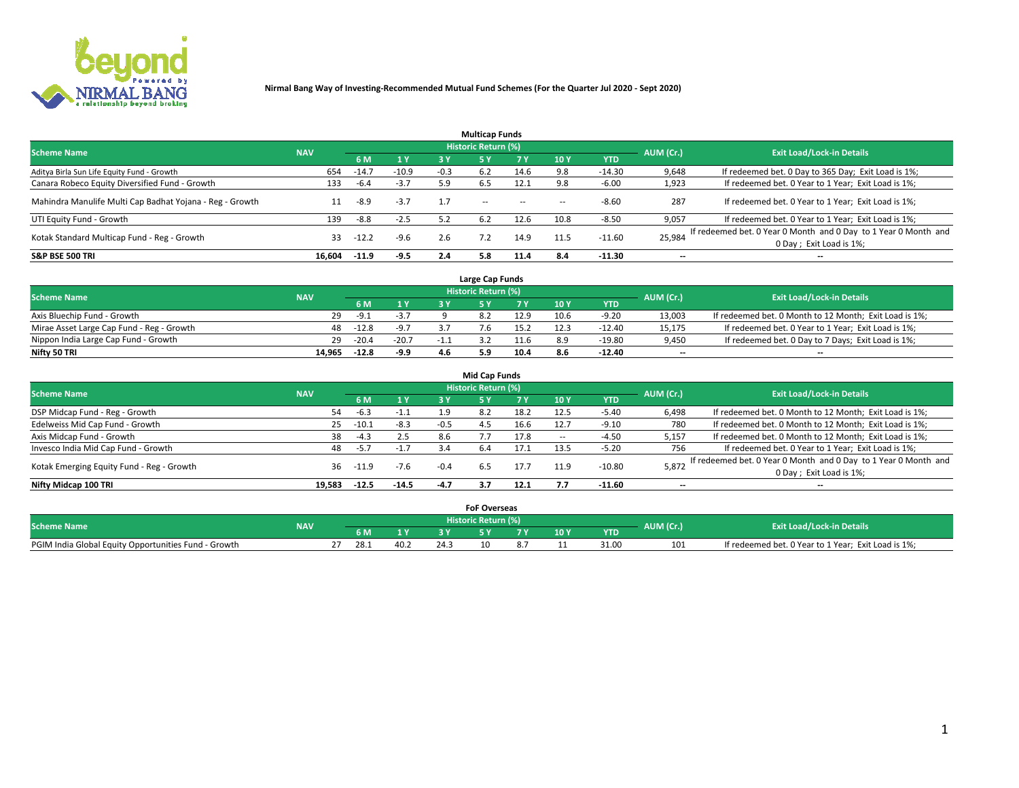

|                                                          |            |         |         |        | <b>Multicap Funds</b> |           |      |            |                          |                                                                                             |
|----------------------------------------------------------|------------|---------|---------|--------|-----------------------|-----------|------|------------|--------------------------|---------------------------------------------------------------------------------------------|
| <b>Scheme Name</b>                                       | <b>NAV</b> |         |         |        | Historic Return (%)   |           |      |            | AUM (Cr.)                | <b>Exit Load/Lock-in Details</b>                                                            |
|                                                          |            | 6 M     | 1 Y     | 3 Y    |                       | <b>7Y</b> | 10Y  | <b>YTD</b> |                          |                                                                                             |
| Aditya Birla Sun Life Equity Fund - Growth               | 654        | -14.7   | $-10.9$ | $-0.3$ | 6.2                   | 14.6      | 9.8  | $-14.30$   | 9,648                    | If redeemed bet. 0 Day to 365 Day; Exit Load is 1%;                                         |
| Canara Robeco Equity Diversified Fund - Growth           | 133        | $-6.4$  | $-3.7$  | 5.9    | 6.5                   | 12.1      | 9.8  | $-6.00$    | 1,923                    | If redeemed bet. 0 Year to 1 Year; Exit Load is 1%;                                         |
| Mahindra Manulife Multi Cap Badhat Yojana - Reg - Growth |            | -8.9    | $-3.7$  | 1.7    | $\sim$ $-$            | $\sim$    | --   | $-8.60$    | 287                      | If redeemed bet. 0 Year to 1 Year; Exit Load is 1%;                                         |
| UTI Equity Fund - Growth                                 | 139        | $-8.8$  | $-2.5$  | 5.2    | 6.2                   | 12.6      | 10.8 | $-8.50$    | 9,057                    | If redeemed bet. 0 Year to 1 Year; Exit Load is 1%;                                         |
| Kotak Standard Multicap Fund - Reg - Growth              | 33         | $-12.2$ | $-9.6$  | 2.6    |                       | 14.9      | 11.5 | $-11.60$   | 25,984                   | If redeemed bet. 0 Year 0 Month and 0 Day to 1 Year 0 Month and<br>0 Day ; Exit Load is 1%; |
| <b>S&amp;P BSE 500 TRI</b>                               | 16.604     | $-11.9$ | $-9.5$  | 2.4    | 5.8                   | 11.4      | 8.4  | $-11.30$   | $\overline{\phantom{a}}$ | $- -$                                                                                       |

|                                           |            |         |                         |     | Large Cap Funds     |      |      |            |                          |                                                        |
|-------------------------------------------|------------|---------|-------------------------|-----|---------------------|------|------|------------|--------------------------|--------------------------------------------------------|
| <b>Scheme Name</b>                        | <b>NAV</b> |         |                         |     | Historic Return (%) |      |      |            | AUM (Cr.)                | <b>Exit Load/Lock-in Details</b>                       |
|                                           |            |         | 1 Y                     |     |                     |      | 10 Y | <b>YTD</b> |                          |                                                        |
| Axis Bluechip Fund - Growth               | 29         | -9.1    | $\sim$ $\sim$<br>$-5.1$ |     |                     | 12.9 | 10.6 | $-9.20$    | 13,003                   | If redeemed bet. 0 Month to 12 Month; Exit Load is 1%; |
| Mirae Asset Large Cap Fund - Reg - Growth | 48         | $-12.8$ | $-9.7$                  |     |                     |      |      | $-12.40$   | 15,175                   | If redeemed bet. 0 Year to 1 Year; Exit Load is 1%;    |
| Nippon India Large Cap Fund - Growth      | 29         | $-20.4$ | $-20.7$                 | -1. |                     |      |      | $-19.80$   | 9,450                    | If redeemed bet. 0 Day to 7 Days; Exit Load is 1%;     |
| Nifty 50 TRI                              | 14.965     | $-12.8$ | $-9.9$                  | 4.6 | 5.9                 | 10.4 |      | $-12.40$   | $\overline{\phantom{a}}$ | $- -$                                                  |

|                                           |            |          |         |        | <b>Mid Cap Funds</b> |      |                          |            |           |                                                                 |
|-------------------------------------------|------------|----------|---------|--------|----------------------|------|--------------------------|------------|-----------|-----------------------------------------------------------------|
| <b>Scheme Name</b>                        | <b>NAV</b> |          |         |        | Historic Return (%)  |      |                          |            | AUM (Cr.) | <b>Exit Load/Lock-in Details</b>                                |
|                                           |            | 6 M      | 1 Y     | 3 Y    | .5 Y                 | 7 V  | <b>10 Y</b>              | <b>YTD</b> |           |                                                                 |
| DSP Midcap Fund - Reg - Growth            | 54         | $-6.3$   | $-1.1$  | 1.9    | 8.2                  | 18.2 | 12.5                     | $-5.40$    | 6,498     | If redeemed bet. 0 Month to 12 Month; Exit Load is 1%;          |
| Edelweiss Mid Cap Fund - Growth           | 25         | $-10.1$  | $-8.3$  | $-0.5$ | 4.5                  | 16.6 | 12.7                     | $-9.10$    | 780       | If redeemed bet. 0 Month to 12 Month; Exit Load is 1%;          |
| Axis Midcap Fund - Growth                 | 38         | $-4.3$   | 2.5     | 8.6    |                      | 17.8 | $\overline{\phantom{a}}$ | $-4.50$    | 5,157     | If redeemed bet. 0 Month to 12 Month; Exit Load is 1%;          |
| Invesco India Mid Cap Fund - Growth       | 48         | $-5.7$   | $-1.7$  | 3.4    | -6.4                 | 17.1 | 13.5                     | $-5.20$    | 756       | If redeemed bet. 0 Year to 1 Year; Exit Load is 1%;             |
| Kotak Emerging Equity Fund - Reg - Growth |            | 36 -11.9 | $-7.6$  | $-0.4$ |                      | 17.7 | 11.9                     | $-10.80$   | 5,872     | If redeemed bet. 0 Year 0 Month and 0 Day to 1 Year 0 Month and |
|                                           |            |          |         |        | 6.5                  |      |                          |            |           | 0 Day; Exit Load is 1%;                                         |
| Nifty Midcap 100 TRI                      | 19.583     | $-12.5$  | $-14.5$ | -4.7   |                      | 12.1 | 7.7                      | -11.60     | $-$       | $- -$                                                           |

|                                                      |            |      |              |     | <b>FoF Overseas</b>   |       |      |            |           |                                                     |
|------------------------------------------------------|------------|------|--------------|-----|-----------------------|-------|------|------------|-----------|-----------------------------------------------------|
| <b>Scheme Name</b>                                   | <b>NAV</b> |      |              |     | Historic Return (%) ' |       |      |            | AUM (Cr.) | <b>Exit Load/Lock-in Details</b>                    |
|                                                      |            |      | $\mathbf{v}$ |     |                       | - - - | 10 Y | <b>YTD</b> |           |                                                     |
| PGIM India Global Equity Opportunities Fund - Growth |            | 28.1 | 40.2         | 24. | 10                    |       |      | 31.00      | 101       | If redeemed bet. 0 Year to 1 Year; Exit Load is 1%; |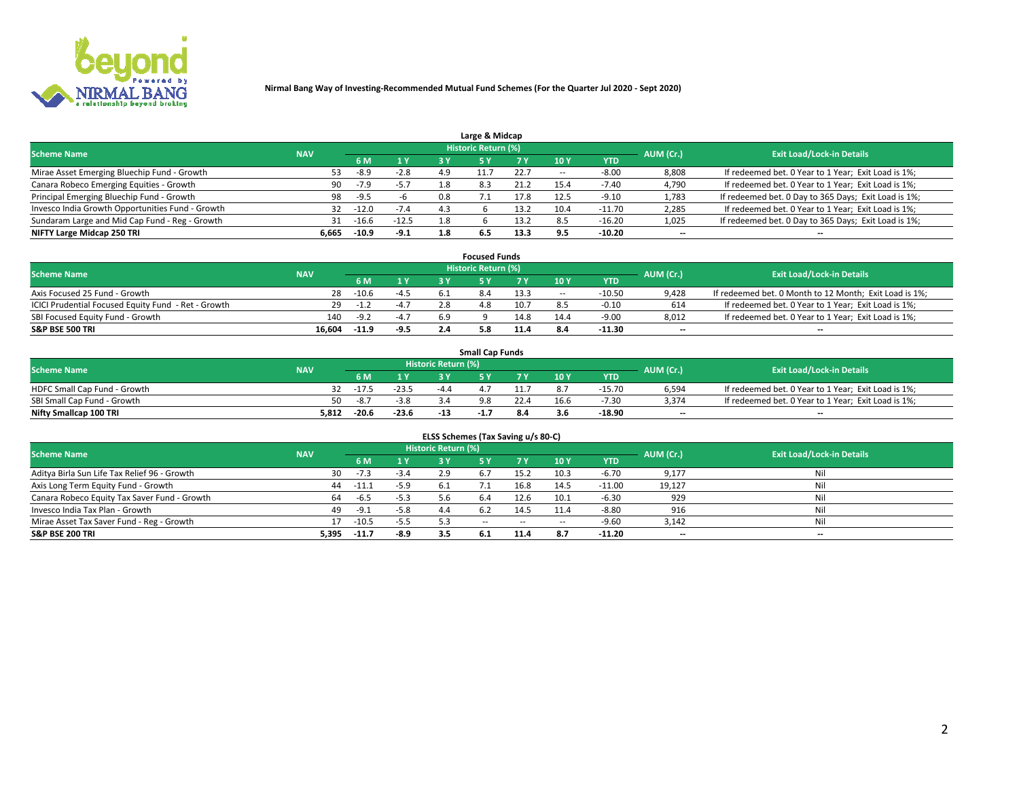

| Large & Midcap                                   |            |         |         |     |                     |      |      |            |                          |                                                      |  |  |  |  |
|--------------------------------------------------|------------|---------|---------|-----|---------------------|------|------|------------|--------------------------|------------------------------------------------------|--|--|--|--|
| <b>Scheme Name</b>                               | <b>NAV</b> |         |         |     | Historic Return (%) |      |      |            | AUM (Cr.)                | <b>Exit Load/Lock-in Details</b>                     |  |  |  |  |
|                                                  |            | 6 M     | 1 Y     | 3 Y |                     | 7 V  | 10Y  | <b>YTD</b> |                          |                                                      |  |  |  |  |
| Mirae Asset Emerging Bluechip Fund - Growth      | 53         | -8.9    | $-2.8$  | 4.9 |                     | 22.7 |      | $-8.00$    | 8,808                    | If redeemed bet. 0 Year to 1 Year; Exit Load is 1%;  |  |  |  |  |
| Canara Robeco Emerging Equities - Growth         | 90         | $-7.9$  | $-5.7$  | 1.8 | 8.3                 | 21.2 | 15.4 | $-7.40$    | 4,790                    | If redeemed bet. 0 Year to 1 Year; Exit Load is 1%;  |  |  |  |  |
| Principal Emerging Bluechip Fund - Growth        | 98         | $-9.5$  | -n      | 0.8 |                     | 17.8 | 12.5 | $-9.10$    | 1,783                    | If redeemed bet. 0 Day to 365 Days; Exit Load is 1%; |  |  |  |  |
| Invesco India Growth Opportunities Fund - Growth | 32         | $-12.0$ | $-7.4$  | 4.3 |                     | 13.2 | 10.4 | $-11.70$   | 2,285                    | If redeemed bet. 0 Year to 1 Year; Exit Load is 1%;  |  |  |  |  |
| Sundaram Large and Mid Cap Fund - Reg - Growth   | 31         | $-16.6$ | $-12.5$ | 1.8 |                     | 13.2 | 8.5  | $-16.20$   | 1,025                    | If redeemed bet. 0 Day to 365 Days; Exit Load is 1%; |  |  |  |  |
| NIFTY Large Midcap 250 TRI                       | 6.665      | $-10.9$ | $-9.1$  | 1.8 | b.5                 | 13.3 |      | -10.20     | $\overline{\phantom{a}}$ | $- -$                                                |  |  |  |  |

|                                                     |            |         |                  |     | <b>Focused Funds</b>       |      |        |            |                          |                                                        |
|-----------------------------------------------------|------------|---------|------------------|-----|----------------------------|------|--------|------------|--------------------------|--------------------------------------------------------|
| <b>Scheme Name</b>                                  | <b>NAV</b> |         |                  |     | <b>Historic Return (%)</b> |      |        |            | AUM (Cr.)                | <b>Exit Load/Lock-in Details</b>                       |
|                                                     |            | 6 M     | 1 Y              |     |                            |      | 10 Y   | <b>YTD</b> |                          |                                                        |
| Axis Focused 25 Fund - Growth                       | 28         | $-10.6$ | $-4.5$           |     |                            | 13.3 | $\sim$ | $-10.50$   | 9,428                    | If redeemed bet. 0 Month to 12 Month; Exit Load is 1%; |
| ICICI Prudential Focused Equity Fund - Ret - Growth |            | $-1.2$  | $-4.1$           |     | 4.8                        | 10.7 |        | $-0.10$    | 614                      | If redeemed bet. 0 Year to 1 Year; Exit Load is 1%;    |
| SBI Focused Equity Fund - Growth                    | 140        | $-9.2$  | $\sim$<br>$-4.1$ | 6.9 |                            | 14.8 | 14.4   | $-9.00$    | 8,012                    | If redeemed bet. 0 Year to 1 Year; Exit Load is 1%;    |
| S&P BSE 500 TRI                                     | 16.604     | $-11.9$ | $-9.5$           |     |                            |      |        | $-11.30$   | $\overline{\phantom{a}}$ | $- -$                                                  |

|                              |            |         |         |                     | <b>Small Cap Funds</b> |     |      |            |           |                                                     |
|------------------------------|------------|---------|---------|---------------------|------------------------|-----|------|------------|-----------|-----------------------------------------------------|
| <b>Scheme Name</b>           | <b>NAV</b> |         |         | Historic Return (%) |                        |     |      |            | AUM (Cr.) | <b>Exit Load/Lock-in Details</b>                    |
|                              |            | 6 M     | 1 Y     |                     |                        |     | 10Y  | <b>YTD</b> |           |                                                     |
| HDFC Small Cap Fund - Growth |            | $-17.5$ | $-23.5$ | $-4$                |                        |     |      | $-15.70$   | 6,594     | If redeemed bet. 0 Year to 1 Year; Exit Load is 1%; |
| SBI Small Cap Fund - Growth  | 50.        | -8.7    | $-3.8$  |                     |                        |     | 16.6 | $-7.30$    | 3,374     | If redeemed bet. 0 Year to 1 Year; Exit Load is 1%; |
| Nifty Smallcap 100 TRI       | 5.812      | $-20.6$ | $-23.6$ | -13                 | -1.,                   | 8.4 |      | $-18.90$   | $- -$     | $- -$                                               |

| ELSS Schemes (Tax Saving u/s 80-C)           |            |         |        |                            |            |        |                          |            |                          |                                  |  |  |  |
|----------------------------------------------|------------|---------|--------|----------------------------|------------|--------|--------------------------|------------|--------------------------|----------------------------------|--|--|--|
| <b>Scheme Name</b>                           | <b>NAV</b> |         |        | <b>Historic Return (%)</b> |            |        |                          |            | AUM (Cr.)                | <b>Exit Load/Lock-in Details</b> |  |  |  |
|                                              |            | - 6 M   | 1Y     | 3 Y                        | <b>5Y</b>  | 7 Y    | 10 Y                     | <b>YTD</b> |                          |                                  |  |  |  |
| Aditya Birla Sun Life Tax Relief 96 - Growth | 30         | $-7.3$  | $-3.4$ |                            |            | 15.2   | 10.3                     | $-6.70$    | 9,177                    | Nil                              |  |  |  |
| Axis Long Term Equity Fund - Growth          | 44         |         | $-5.9$ | -6.1                       |            | 16.8   | 14.5                     | $-11.00$   | 19,127                   | Nil                              |  |  |  |
| Canara Robeco Equity Tax Saver Fund - Growth | 64         | $-6.5$  | $-5.3$ | 5.6                        | 6.4        | 12.6   | 10.1                     | $-6.30$    | 929                      | Nil                              |  |  |  |
| Invesco India Tax Plan - Growth              | 49         | -9.1    | $-5.8$ | 4.4                        |            | 14.5   | 11.4                     | $-8.80$    | 916                      | Nil                              |  |  |  |
| Mirae Asset Tax Saver Fund - Reg - Growth    |            | $-10.5$ | $-5.5$ | 5.3                        | $\sim$ $-$ | $\sim$ | $\overline{\phantom{a}}$ | $-9.60$    | 3,142                    | Nil                              |  |  |  |
| S&P BSE 200 TRI                              | 5,395      | $-11.7$ | -8.9   | 3.5                        |            | 11.4   | 8.7                      | $-11.20$   | $\overline{\phantom{a}}$ | $- -$                            |  |  |  |

# 2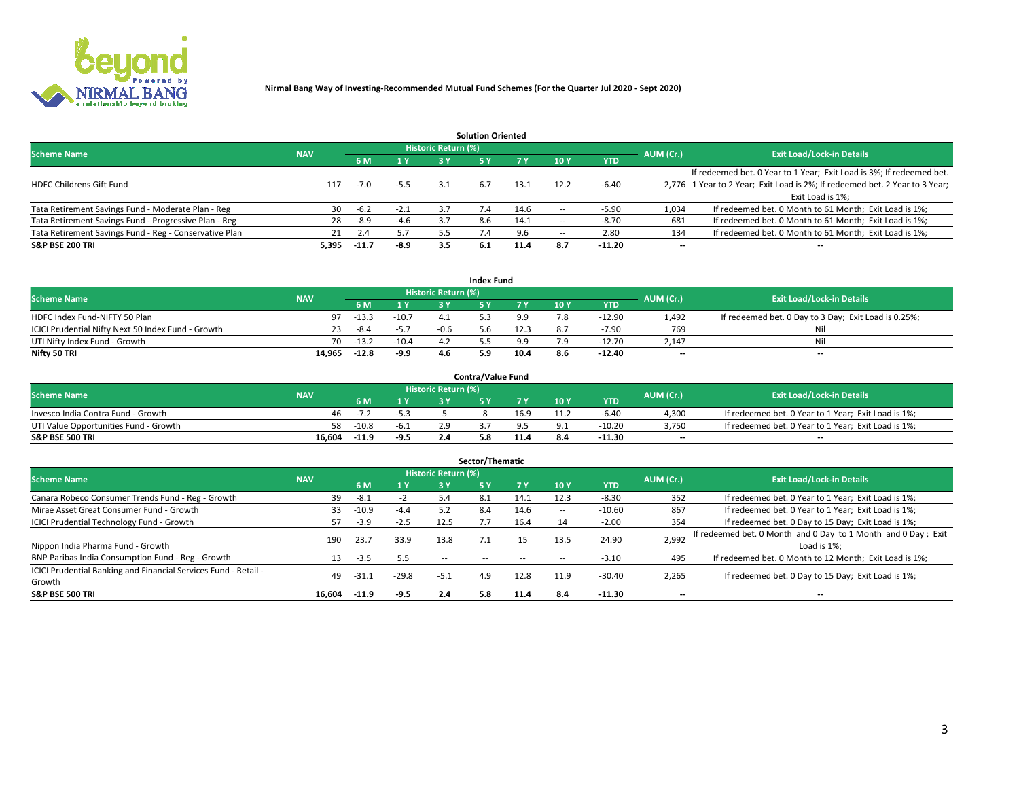

| <b>Solution Oriented</b>                               |            |            |        |                            |     |      |                          |            |                          |                                                                             |  |  |  |  |
|--------------------------------------------------------|------------|------------|--------|----------------------------|-----|------|--------------------------|------------|--------------------------|-----------------------------------------------------------------------------|--|--|--|--|
| <b>Scheme Name</b>                                     | <b>NAV</b> |            |        | <b>Historic Return (%)</b> |     |      |                          |            | AUM (Cr.)                | <b>Exit Load/Lock-in Details</b>                                            |  |  |  |  |
|                                                        |            | <b>6 M</b> | 1 Y    | 3 Y                        |     |      | 10Y                      | <b>YTD</b> |                          |                                                                             |  |  |  |  |
|                                                        |            |            |        |                            |     |      |                          |            |                          | If redeemed bet. 0 Year to 1 Year; Exit Load is 3%; If redeemed bet.        |  |  |  |  |
| <b>HDFC Childrens Gift Fund</b>                        | 117        | $-7.0$     | $-5.5$ | 3.1                        | 6.7 | 13.1 | 12.2                     | $-6.40$    |                          | 2,776 1 Year to 2 Year; Exit Load is 2%; If redeemed bet. 2 Year to 3 Year; |  |  |  |  |
|                                                        |            |            |        |                            |     |      |                          |            |                          | Exit Load is 1%:                                                            |  |  |  |  |
| Tata Retirement Savings Fund - Moderate Plan - Reg     | 30         | $-6.2$     | $-2.1$ | 3.7                        |     | 14.6 |                          | $-5.90$    | 1,034                    | If redeemed bet. 0 Month to 61 Month; Exit Load is 1%;                      |  |  |  |  |
| Tata Retirement Savings Fund - Progressive Plan - Reg  | 28         | -8.9       | $-4.6$ | 3.7                        | 8.6 | 14.1 | $\overline{\phantom{a}}$ | $-8.70$    | 681                      | If redeemed bet. 0 Month to 61 Month; Exit Load is 1%;                      |  |  |  |  |
| Tata Retirement Savings Fund - Reg - Conservative Plan | 21         | 2.4        | 5.7    | 5.5                        |     | 9.6  | -                        | 2.80       | 134                      | If redeemed bet. 0 Month to 61 Month; Exit Load is 1%;                      |  |  |  |  |
| S&P BSE 200 TRI                                        | 5,395      | $-11.7$    | $-8.9$ | 3.5                        | 6.1 | 11.4 | 8.7                      | $-11.20$   | $\overline{\phantom{a}}$ | $- -$                                                                       |  |  |  |  |

|                                                    |            |         |              |                            | <b>Index Fund</b> |      |      |            |                          |                                                      |
|----------------------------------------------------|------------|---------|--------------|----------------------------|-------------------|------|------|------------|--------------------------|------------------------------------------------------|
| <b>Scheme Name</b>                                 | <b>NAV</b> |         |              | <b>Historic Return (%)</b> |                   |      |      |            | AUM (Cr.)                | <b>Exit Load/Lock-in Details</b>                     |
|                                                    |            |         | $\sqrt{1}$ Y | 2 V                        |                   | 7 V  | 10 Y | <b>YTD</b> |                          |                                                      |
| HDFC Index Fund-NIFTY 50 Plan                      | 97         | $-13.3$ | $-10.7$      | 4.1                        |                   |      |      | $-12.90$   | 1.492                    | If redeemed bet. 0 Day to 3 Day; Exit Load is 0.25%; |
| ICICI Prudential Nifty Next 50 Index Fund - Growth |            | -8.4    | $-5.7$       | $-0.6$                     | , h               | 12.3 |      | $-7.90$    | 769                      | Nil                                                  |
| UTI Nifty Index Fund - Growth                      | 70         | $-13.2$ | $-10.4$      |                            |                   |      |      | $-12.70$   | 2,147                    | Nil                                                  |
| Nifty 50 TRI                                       | 14.965     | $-12.8$ | -9.9         | 4.6                        | 5.9               | 10.4 | 8.6  | $-12.40$   | $\overline{\phantom{a}}$ | $- -$                                                |

|                                       |            |         |                                   |                            | <b>Contra/Value Fund</b> |        |     |            |                          |                                                     |
|---------------------------------------|------------|---------|-----------------------------------|----------------------------|--------------------------|--------|-----|------------|--------------------------|-----------------------------------------------------|
| <b>Scheme Name</b>                    | <b>NAV</b> |         |                                   | <b>Historic Return (%)</b> |                          |        |     |            | AUM (Cr.)                | <b>Exit Load/Lock-in Details</b>                    |
|                                       |            |         | $\boldsymbol{A}$ $\boldsymbol{V}$ |                            |                          | 7 V    | 10Y | <b>YTD</b> |                          |                                                     |
| Invesco India Contra Fund - Growth    | 46.        | $-1.4$  |                                   |                            |                          | 16.9   |     | $-6.40$    | 4,300                    | If redeemed bet. 0 Year to 1 Year; Exit Load is 1%; |
| UTI Value Opportunities Fund - Growth | 58         | $-10.8$ | -6.1                              |                            |                          |        |     | $-10.20$   | 3,750                    | If redeemed bet. 0 Year to 1 Year; Exit Load is 1%; |
| <b>S&amp;P BSE 500 TRI</b>            | 16.604     | $-11.9$ | $-9.5$                            |                            |                          | $-1.7$ |     | $-11.30$   | $\overline{\phantom{a}}$ | $- -$                                               |

| Sector/Thematic                                                           |            |         |               |                            |            |           |      |            |                          |                                                                              |  |  |  |
|---------------------------------------------------------------------------|------------|---------|---------------|----------------------------|------------|-----------|------|------------|--------------------------|------------------------------------------------------------------------------|--|--|--|
| <b>Scheme Name</b>                                                        | <b>NAV</b> |         |               | <b>Historic Return (%)</b> |            |           |      |            | AUM (Cr.)                | <b>Exit Load/Lock-in Details</b>                                             |  |  |  |
|                                                                           |            | 6 M     | 1 Y           | 3 Y                        | 5 Y        | <b>7Y</b> | 10Y  | <b>YTD</b> |                          |                                                                              |  |  |  |
| Canara Robeco Consumer Trends Fund - Reg - Growth                         | 39         | $-8.1$  | $\rightarrow$ | 5.4                        | 8.1        | 14.1      | 12.3 | $-8.30$    | 352                      | If redeemed bet. 0 Year to 1 Year; Exit Load is 1%;                          |  |  |  |
| Mirae Asset Great Consumer Fund - Growth                                  | 33         | $-10.9$ | $-4.4$        |                            | 8.4        | 14.6      | --   | $-10.60$   | 867                      | If redeemed bet. 0 Year to 1 Year; Exit Load is 1%;                          |  |  |  |
| <b>ICICI Prudential Technology Fund - Growth</b>                          | 57.        | $-3.9$  | $-2.5$        | 12.5                       |            | 16.4      |      | $-2.00$    | 354                      | If redeemed bet. 0 Day to 15 Day; Exit Load is 1%;                           |  |  |  |
| Nippon India Pharma Fund - Growth                                         | 190        | 23.7    | 33.9          | 13.8                       |            | 15        | 13.5 | 24.90      | 2,992                    | If redeemed bet. 0 Month and 0 Day to 1 Month and 0 Day; Exit<br>Load is 1%: |  |  |  |
| BNP Paribas India Consumption Fund - Reg - Growth                         | 13         | $-3.5$  | 5.5           | $\sim$ $-$                 | $\sim$ $-$ |           |      | $-3.10$    | 495                      | If redeemed bet. 0 Month to 12 Month; Exit Load is 1%;                       |  |  |  |
| ICICI Prudential Banking and Financial Services Fund - Retail -<br>Growth | 49         | -31.1   | $-29.8$       | $-5.1$                     | 4.9        | 12.8      | 11.9 | $-30.40$   | 2,265                    | If redeemed bet. 0 Day to 15 Day; Exit Load is 1%;                           |  |  |  |
| <b>S&amp;P BSE 500 TRI</b>                                                | 16.604     | $-11.9$ | $-9.5$        | 2.4                        | 5.8        | 11.4      | 8.4  | $-11.30$   | $\overline{\phantom{a}}$ | $- -$                                                                        |  |  |  |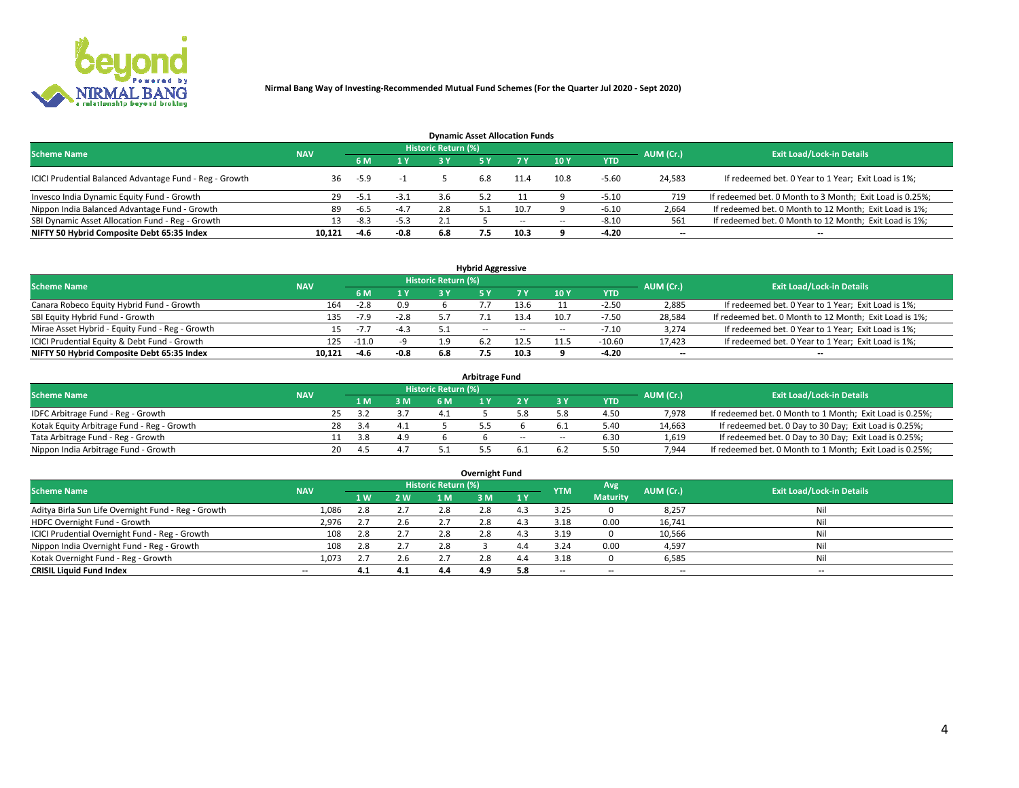

| <b>Dynamic Asset Allocation Funds</b>                   |            |        |           |                                  |     |      |        |            |                          |                                                          |  |  |  |  |
|---------------------------------------------------------|------------|--------|-----------|----------------------------------|-----|------|--------|------------|--------------------------|----------------------------------------------------------|--|--|--|--|
| <b>Scheme Name</b>                                      | <b>NAV</b> |        | AUM (Cr.) | <b>Exit Load/Lock-in Details</b> |     |      |        |            |                          |                                                          |  |  |  |  |
|                                                         |            | 6 M    | 1 Y       |                                  |     |      | 10Y    | <b>YTD</b> |                          |                                                          |  |  |  |  |
| ICICI Prudential Balanced Advantage Fund - Reg - Growth | 36.        | $-5.9$ |           |                                  | 6.8 | 11.4 | 10.8   | $-5.60$    | 24,583                   | If redeemed bet. 0 Year to 1 Year; Exit Load is 1%;      |  |  |  |  |
| Invesco India Dynamic Equity Fund - Growth              | 29         | -5.1   | $-3.1$    | 3.6                              |     |      |        | $-5.10$    | 719                      | If redeemed bet. 0 Month to 3 Month; Exit Load is 0.25%; |  |  |  |  |
| Nippon India Balanced Advantage Fund - Growth           | 89         | -6.5   | $-4.7$    | 2.8                              |     | 10.7 |        | $-6.10$    | 2,664                    | If redeemed bet. 0 Month to 12 Month; Exit Load is 1%;   |  |  |  |  |
| SBI Dynamic Asset Allocation Fund - Reg - Growth        |            | $-8.3$ | $-5.3$    |                                  |     | --   | $\sim$ | -8.10      | 561                      | If redeemed bet. 0 Month to 12 Month; Exit Load is 1%;   |  |  |  |  |
| NIFTY 50 Hybrid Composite Debt 65:35 Index              | 10.121     | $-4.6$ | $-0.8$    | 6.8                              | 7.5 | 10.3 |        | $-4.20$    | $\overline{\phantom{a}}$ |                                                          |  |  |  |  |

| <b>Hybrid Aggressive</b>                        |            |                                  |        |     |            |        |      |            |                          |                                                        |  |  |  |
|-------------------------------------------------|------------|----------------------------------|--------|-----|------------|--------|------|------------|--------------------------|--------------------------------------------------------|--|--|--|
| <b>Scheme Name</b>                              | <b>NAV</b> | <b>Exit Load/Lock-in Details</b> |        |     |            |        |      |            |                          |                                                        |  |  |  |
|                                                 |            | 6 M                              | 1 Y    | 2 Y |            | 7 V    | 10Y  | <b>YTD</b> | AUM (Cr.)                |                                                        |  |  |  |
| Canara Robeco Equity Hybrid Fund - Growth       | 164        | $-2.8$                           | 0.9    |     |            |        |      | $-2.50$    | 2,885                    | If redeemed bet. 0 Year to 1 Year; Exit Load is 1%;    |  |  |  |
| SBI Equity Hybrid Fund - Growth                 | 135        | $-7.9$                           | $-2.8$ |     |            | 13.4   | 10.7 | -7.50      | 28,584                   | If redeemed bet. 0 Month to 12 Month; Exit Load is 1%; |  |  |  |
| Mirae Asset Hybrid - Equity Fund - Reg - Growth | 15         | $-1.1$                           | $-4.3$ | 51  | $\sim$ $-$ | $\sim$ | --   | $-7.10$    | 3,274                    | If redeemed bet. 0 Year to 1 Year; Exit Load is 1%;    |  |  |  |
| ICICI Prudential Equity & Debt Fund - Growth    | 125        | $-11.0$                          |        |     |            | 12.5   |      | $-10.60$   | 17,423                   | If redeemed bet. 0 Year to 1 Year; Exit Load is 1%;    |  |  |  |
| NIFTY 50 Hybrid Composite Debt 65:35 Index      | 10.121     | $-4.6$                           | $-0.8$ | 6.8 |            | 10.3   |      | $-4.20$    | $\overline{\phantom{a}}$ | $- -$                                                  |  |  |  |

| <b>Arbitrage Fund</b>                      |            |    |           |     |                     |  |        |        |      |           |                                                          |  |  |  |
|--------------------------------------------|------------|----|-----------|-----|---------------------|--|--------|--------|------|-----------|----------------------------------------------------------|--|--|--|
| <b>Scheme Name</b>                         | <b>NAV</b> |    |           |     | Historic Return (%) |  |        |        |      | AUM (Cr.) | <b>Exit Load/Lock-in Details</b>                         |  |  |  |
|                                            |            |    | 1 M       | 3 M | 6 M                 |  |        |        | YTD  |           |                                                          |  |  |  |
| IDFC Arbitrage Fund - Reg - Growth         |            | 25 |           |     |                     |  |        |        | 4.50 | 7,978     | If redeemed bet. 0 Month to 1 Month; Exit Load is 0.25%; |  |  |  |
| Kotak Equity Arbitrage Fund - Reg - Growth |            | 28 | -3.4      |     |                     |  |        |        | 5.4C | 14,663    | If redeemed bet. 0 Day to 30 Day; Exit Load is 0.25%;    |  |  |  |
| Tata Arbitrage Fund - Reg - Growth         |            |    | 3.8       |     |                     |  | $\sim$ | $\sim$ | 6.30 | 1,619     | If redeemed bet. 0 Day to 30 Day; Exit Load is 0.25%;    |  |  |  |
| Nippon India Arbitrage Fund - Growth       |            | 20 | <b>45</b> |     |                     |  |        |        | 5.50 | 7.944     | If redeemed bet. 0 Month to 1 Month; Exit Load is 0.25%; |  |  |  |

| Overnight Fund                                      |            |     |         |                            |     |     |                          |                 |           |                                  |  |  |  |  |
|-----------------------------------------------------|------------|-----|---------|----------------------------|-----|-----|--------------------------|-----------------|-----------|----------------------------------|--|--|--|--|
| <b>Scheme Name</b>                                  | <b>NAV</b> |     |         | <b>Historic Return (%)</b> |     |     | <b>YTM</b>               | Avg             | AUM (Cr.) | <b>Exit Load/Lock-in Details</b> |  |  |  |  |
|                                                     |            | 1 W | 2 W     | 1 M                        | 3 M | 1 Y |                          | <b>Maturity</b> |           |                                  |  |  |  |  |
| Aditya Birla Sun Life Overnight Fund - Reg - Growth | 1,086      | 2.8 | 2.7     | 2.8                        | 2.8 |     | 3.25                     |                 | 8,257     | Nil                              |  |  |  |  |
| HDFC Overnight Fund - Growth                        | 2,976      |     | 2.6     |                            | 2.8 |     | 3.18                     | 0.00            | 16,741    | Nil                              |  |  |  |  |
| ICICI Prudential Overnight Fund - Reg - Growth      | 108        | 2.8 | 2.7     | 2.8                        | 2.8 |     | 3.19                     |                 | 10,566    | Nil                              |  |  |  |  |
| Nippon India Overnight Fund - Reg - Growth          | 108        | 2.8 | 2.7     | 2.8                        |     |     | 3.24                     | 0.00            | 4,597     | Nil                              |  |  |  |  |
| Kotak Overnight Fund - Reg - Growth                 | 1.073      |     | $2.6\,$ |                            | 2.8 | 4.4 | 3.18                     |                 | 6,585     | Nil                              |  |  |  |  |
| <b>CRISIL Liquid Fund Index</b>                     | $- -$      | 4.1 | 4.1     | 4.4                        | 4.9 | 5.8 | $\overline{\phantom{a}}$ | --              | $-$       | $- -$                            |  |  |  |  |

#### **Overnight Fund**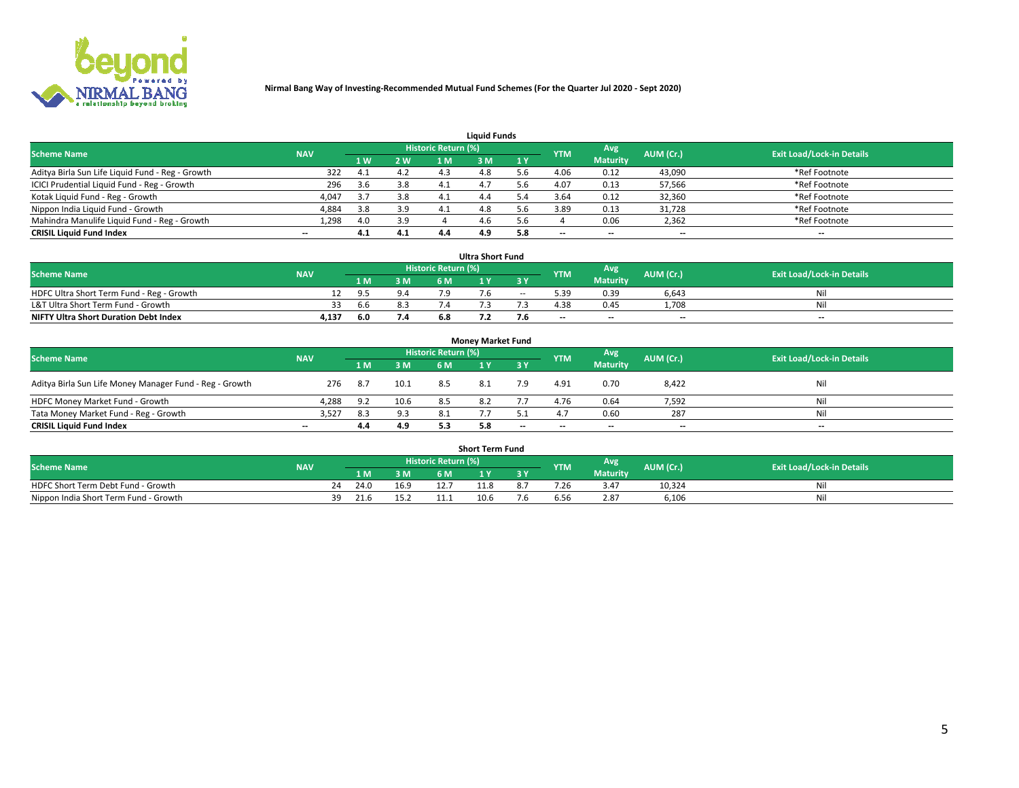

| <b>Liquid Funds</b>                              |            |     |     |                     |     |              |            |                 |           |                                  |  |  |  |  |
|--------------------------------------------------|------------|-----|-----|---------------------|-----|--------------|------------|-----------------|-----------|----------------------------------|--|--|--|--|
| <b>Scheme Name</b>                               | <b>NAV</b> |     |     | Historic Return (%) |     |              | <b>YTM</b> | Avg             | AUM (Cr.) | <b>Exit Load/Lock-in Details</b> |  |  |  |  |
|                                                  |            | 4W  | 2 W | 1 M                 | M   | $\sqrt{1}$ Y |            | <b>Maturity</b> |           |                                  |  |  |  |  |
| Aditya Birla Sun Life Liquid Fund - Reg - Growth | 322        |     | 4.2 | 4.3                 | 4.8 |              | 4.06       | 0.12            | 43,090    | *Ref Footnote                    |  |  |  |  |
| ICICI Prudential Liquid Fund - Reg - Growth      | 296        | 3.6 | 3.8 | 4.1                 | 4.  | i h          | 4.07       | 0.13            | 57,566    | *Ref Footnote                    |  |  |  |  |
| Kotak Liquid Fund - Reg - Growth                 | 4,047      |     | 3.8 | 4.1                 | 4.4 |              | 3.64       | 0.12            | 32,360    | *Ref Footnote                    |  |  |  |  |
| Nippon India Liquid Fund - Growth                | 4,884      | 3.8 | 3.9 | 4.1                 | 4.8 |              | 3.89       | 0.13            | 31,728    | *Ref Footnote                    |  |  |  |  |
| Mahindra Manulife Liquid Fund - Reg - Growth     | 1,298      | 4.0 | 3.9 |                     | 4.6 | .6           |            | 0.06            | 2,362     | *Ref Footnote                    |  |  |  |  |
| <b>CRISIL Liquid Fund Index</b>                  | $- -$      | 4.1 | 4.1 | 4.4                 | 4.9 | 5.8          | --         | $- -$           | --        | $- -$                            |  |  |  |  |

| <b>Ultra Short Fund</b>                      |            |       |     |                            |  |       |            |                 |                          |                                  |  |  |  |
|----------------------------------------------|------------|-------|-----|----------------------------|--|-------|------------|-----------------|--------------------------|----------------------------------|--|--|--|
| <b>Scheme Name</b>                           | <b>NAV</b> |       |     | <b>Historic Return (%)</b> |  |       | <b>YTM</b> | Avg             | AUM (Cr.)                | <b>Exit Load/Lock-in Details</b> |  |  |  |
|                                              |            | 4 M Z | 3 M | 6 M                        |  | 3 Y   |            | <b>Maturity</b> |                          |                                  |  |  |  |
| HDFC Ultra Short Term Fund - Reg - Growth    |            | 0 F   |     |                            |  | $- -$ |            | 0.39            | 6,643                    | Νi                               |  |  |  |
| L&T Ultra Short Term Fund - Growth           |            | b.b   |     |                            |  |       | 4.38       | 0.45            | 1.708                    | Ni                               |  |  |  |
| <b>NIFTY Ultra Short Duration Debt Index</b> | 4,137      | 6.0   | 7.4 |                            |  |       | $-$        | $- -$           | $\overline{\phantom{a}}$ | $-$                              |  |  |  |

| <b>Monev Market Fund</b>                                |                          |       |      |                     |     |           |            |                 |           |                                  |  |  |  |  |
|---------------------------------------------------------|--------------------------|-------|------|---------------------|-----|-----------|------------|-----------------|-----------|----------------------------------|--|--|--|--|
| <b>Scheme Name</b>                                      | <b>NAV</b>               |       |      | Historic Return (%) |     |           | <b>YTM</b> | Avg.            | AUM (Cr.) | <b>Exit Load/Lock-in Details</b> |  |  |  |  |
|                                                         |                          | 1 M   | 3 M  | 6 M                 |     | <b>3Y</b> |            | <b>Maturity</b> |           |                                  |  |  |  |  |
| Aditya Birla Sun Life Money Manager Fund - Reg - Growth | 276                      | - 8.7 | 10.1 | 8.5                 |     | 7.9       | 4.91       | 0.70            | 8,422     | Nil                              |  |  |  |  |
| HDFC Money Market Fund - Growth                         | 4,288                    | 9.2   | 10.6 | 8.5                 |     |           | 4.76       | 0.64            | 7,592     | Nil                              |  |  |  |  |
| Tata Money Market Fund - Reg - Growth                   | 3,527                    |       | 9.3  | 8.1                 |     |           | 4.7        | 0.60            | 287       | Nil                              |  |  |  |  |
| <b>CRISIL Liquid Fund Index</b>                         | $\overline{\phantom{a}}$ | 4.4   | 4.9  | 5.3                 | 5.8 | $-$       | $-$        | $- -$           | $- -$     | $\overline{\phantom{a}}$         |  |  |  |  |

| <b>Short Term Fund</b>                |            |      |      |                     |              |     |            |                 |           |                                  |  |  |  |
|---------------------------------------|------------|------|------|---------------------|--------------|-----|------------|-----------------|-----------|----------------------------------|--|--|--|
| <b>Scheme Name</b>                    | <b>NAV</b> |      |      | Historic Return (%) |              |     | <b>YTM</b> | Avg             | AUM (Cr.) | <b>Exit Load/Lock-in Details</b> |  |  |  |
|                                       |            | 1 M  | 3 M  | 6 M                 | $\mathbf{M}$ | 3 Y |            | <b>Maturity</b> |           |                                  |  |  |  |
| HDFC Short Term Debt Fund - Growth    | 24         | 24.0 | 16.9 |                     | 11.8         |     | 1.26       | 3.47            | 10,324    | Nil                              |  |  |  |
| Nippon India Short Term Fund - Growth | 39         | 21.f |      |                     | 10.6         | ∕.n | 6.56       | 2.87            | 6,106     | Nil                              |  |  |  |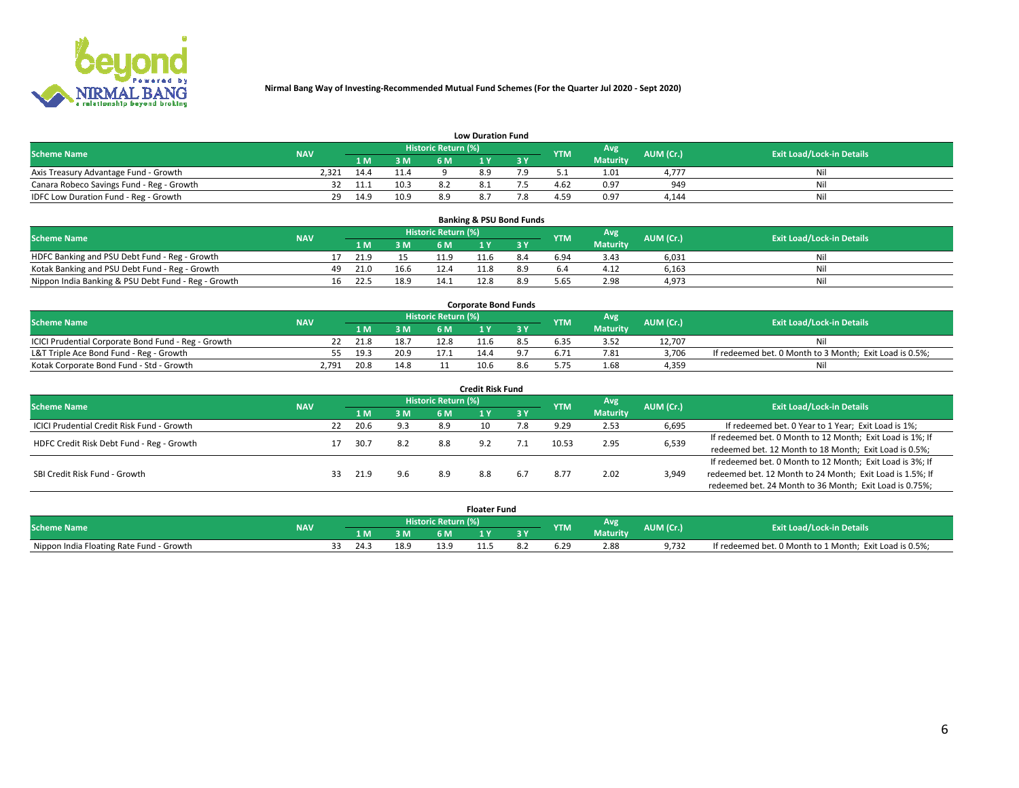

|                                           | <b>Low Duration Fund</b> |      |      |                            |  |  |            |                 |           |                                  |  |  |  |  |  |
|-------------------------------------------|--------------------------|------|------|----------------------------|--|--|------------|-----------------|-----------|----------------------------------|--|--|--|--|--|
| <b>Scheme Name</b>                        | <b>NAV</b>               |      |      | <b>Historic Return (%)</b> |  |  | <b>YTM</b> | Avg             | AUM (Cr.) | <b>Exit Load/Lock-in Details</b> |  |  |  |  |  |
|                                           |                          | 1 M  | 3 M  |                            |  |  |            | <b>Maturity</b> |           |                                  |  |  |  |  |  |
| Axis Treasury Advantage Fund - Growth     | 2.321                    | 14.4 | 11.4 |                            |  |  |            | 1.01            | 4.777     | Nil                              |  |  |  |  |  |
| Canara Robeco Savings Fund - Reg - Growth |                          | 11.1 | 10.3 |                            |  |  | 4.62       | 0.97            | 949       | Nil                              |  |  |  |  |  |
| IDFC Low Duration Fund - Reg - Growth     | 29.                      | 14.9 | 10.9 | 8.9                        |  |  | 4.59       | 0.97            | 4,144     | Nil                              |  |  |  |  |  |

| <b>Banking &amp; PSU Bond Funds</b>                 |            |    |                                                       |      |      |                                  |     |      |                 |       |    |  |  |  |
|-----------------------------------------------------|------------|----|-------------------------------------------------------|------|------|----------------------------------|-----|------|-----------------|-------|----|--|--|--|
| <b>Scheme Name</b>                                  | <b>NAV</b> |    | Historic Return (%)<br>Avg<br>AUM (Cr.)<br><b>YTM</b> |      |      | <b>Exit Load/Lock-in Details</b> |     |      |                 |       |    |  |  |  |
|                                                     |            |    | 1 M.                                                  | 3 M  | 6 M  |                                  |     |      | <b>Maturity</b> |       |    |  |  |  |
| HDFC Banking and PSU Debt Fund - Reg - Growth       |            |    | 21.9                                                  |      | 11.9 |                                  | 8.4 | 6.94 | 3.43            | 6,031 | Ni |  |  |  |
| Kotak Banking and PSU Debt Fund - Reg - Growth      |            | 49 | 21.0                                                  | 16.6 | 12.4 |                                  | 8.9 |      | 4.12            | 6,163 | Ni |  |  |  |
| Nippon India Banking & PSU Debt Fund - Reg - Growth |            | 16 | 22.5                                                  | 18.9 | 14.1 | 12.8                             | 8.9 | 5.65 | 2.98            | 4,973 | Ni |  |  |  |

| <b>Corporate Bond Funds</b>                         |            |      |      |                            |      |  |            |                 |           |                                                         |  |  |  |  |
|-----------------------------------------------------|------------|------|------|----------------------------|------|--|------------|-----------------|-----------|---------------------------------------------------------|--|--|--|--|
| <b>Scheme Name</b>                                  | <b>NAV</b> |      |      | <b>Historic Return (%)</b> |      |  | <b>YTM</b> | Avg             | AUM (Cr.) | <b>Exit Load/Lock-in Details</b>                        |  |  |  |  |
|                                                     |            |      | 3 M  | 6 M                        |      |  |            | <b>Maturity</b> |           |                                                         |  |  |  |  |
| ICICI Prudential Corporate Bond Fund - Reg - Growth |            | 21.8 | 18.7 | 12.8                       |      |  |            |                 | 12.707    | Nil                                                     |  |  |  |  |
| L&T Triple Ace Bond Fund - Reg - Growth             |            | 19.3 | 20.9 | 17 .                       | 14.4 |  | 6.71       | 7.81            | 3,706     | If redeemed bet. 0 Month to 3 Month; Exit Load is 0.5%; |  |  |  |  |
| Kotak Corporate Bond Fund - Std - Growth            | 2.791      | 20.8 | 14.8 |                            | 10.6 |  |            | 1.68            | 4.359     | Nil                                                     |  |  |  |  |

| <b>Credit Risk Fund</b>                    |            |    |      |     |                            |     |     |            |                 |           |                                                           |  |  |
|--------------------------------------------|------------|----|------|-----|----------------------------|-----|-----|------------|-----------------|-----------|-----------------------------------------------------------|--|--|
| <b>Scheme Name</b>                         | <b>NAV</b> |    |      |     | <b>Historic Return (%)</b> |     |     | <b>YTM</b> | <b>Avg</b>      | AUM (Cr.) | <b>Exit Load/Lock-in Details</b>                          |  |  |
|                                            |            |    | 1 M  | 3 M | 6 M                        |     | 3 Y |            | <b>Maturity</b> |           |                                                           |  |  |
| ICICI Prudential Credit Risk Fund - Growth |            | 22 | 20.6 | 9.3 | 8.9                        |     |     | 9.29       | 2.53            | 6,695     | If redeemed bet. 0 Year to 1 Year; Exit Load is 1%;       |  |  |
| HDFC Credit Risk Debt Fund - Reg - Growth  |            |    | 30.7 | 8.2 | 8.8                        | 9.2 |     | 10.53      | 2.95            | 6,539     | If redeemed bet. 0 Month to 12 Month; Exit Load is 1%; If |  |  |
|                                            |            |    |      |     |                            |     |     |            |                 |           | redeemed bet. 12 Month to 18 Month; Exit Load is 0.5%;    |  |  |
|                                            |            |    |      |     |                            |     |     |            |                 |           | If redeemed bet. 0 Month to 12 Month; Exit Load is 3%; If |  |  |
| SBI Credit Risk Fund - Growth              |            | 33 | 21.9 | 9.6 | 8.9                        | 8.8 | 6.7 | 8.77       | 2.02            | 3,949     | redeemed bet. 12 Month to 24 Month; Exit Load is 1.5%; If |  |  |
|                                            |            |    |      |     |                            |     |     |            |                 |           | redeemed bet. 24 Month to 36 Month; Exit Load is 0.75%;   |  |  |

| <b>Floater Fund</b>                      |            |  |      |      |                       |      |    |           |                        |           |                                                         |
|------------------------------------------|------------|--|------|------|-----------------------|------|----|-----------|------------------------|-----------|---------------------------------------------------------|
| <b>Scheme Name</b>                       | <b>NAV</b> |  |      |      | Historic Return (%) \ |      |    | <b>TM</b> | Avg<br><b>Maturity</b> | AUM (Cr.) | <b>Exit Load/Lock-in Details</b>                        |
|                                          |            |  | l M  | 3 M  | 6 M                   |      | 2V |           |                        |           |                                                         |
| Nippon India Floating Rate Fund - Growth |            |  | 24.3 | 18.9 |                       | 11.5 |    |           | 2.88                   | 9.732     | If redeemed bet. 0 Month to 1 Month; Exit Load is 0.5%; |